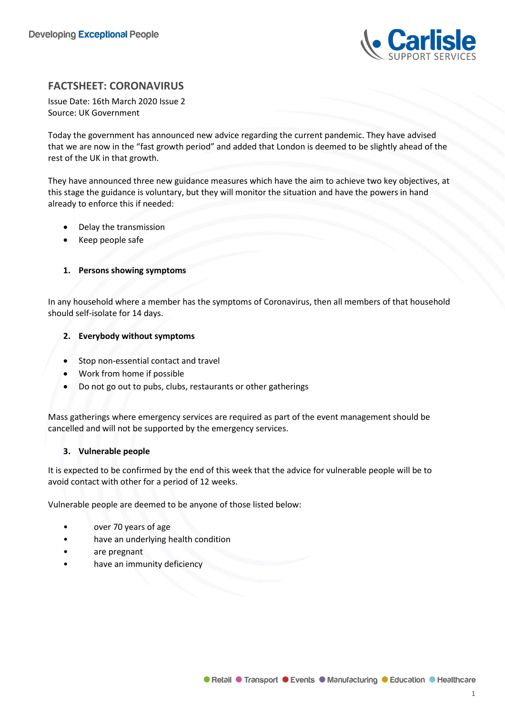

# **FACTSHEET: CORONAVIRUS**

Issue Date: 16th March 2020 Issue 2 Source: UK Government

Today the government has announced new advice regarding the current pandemic. They have advised that we are now in the "fast growth period" and added that London is deemed to be slightly ahead of the rest of the UK in that growth.

They have announced three new guidance measures which have the aim to achieve two key objectives, at this stage the guidance is voluntary, but they will monitor the situation and have the powers in hand already to enforce this if needed:

- Delay the transmission
- Keep people safe

# **1. Persons showing symptoms**

In any household where a member has the symptoms of Coronavirus, then all members of that household should self-isolate for 14 days.

# **2. Everybody without symptoms**

- Stop non-essential contact and travel
- Work from home if possible
- Do not go out to pubs, clubs, restaurants or other gatherings

Mass gatherings where emergency services are required as part of the event management should be cancelled and will not be supported by the emergency services.

# **3. Vulnerable people**

It is expected to be confirmed by the end of this week that the advice for vulnerable people will be to avoid contact with other for a period of 12 weeks.

Vulnerable people are deemed to be anyone of those listed below:

- over 70 years of age
- have an underlying health condition
- are pregnant
- have an immunity deficiency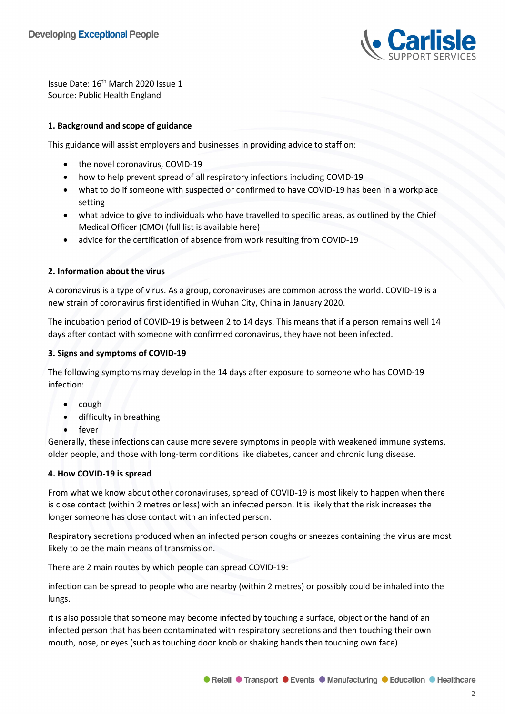

Issue Date: 16th March 2020 Issue 1 Source: Public Health England

# **1. Background and scope of guidance**

This guidance will assist employers and businesses in providing advice to staff on:

- the novel coronavirus, COVID-19
- how to help prevent spread of all respiratory infections including COVID-19
- what to do if someone with suspected or confirmed to have COVID-19 has been in a workplace setting
- what advice to give to individuals who have travelled to specific areas, as outlined by the Chief Medical Officer (CMO) (full list is available here)
- advice for the certification of absence from work resulting from COVID-19

# **2. Information about the virus**

A coronavirus is a type of virus. As a group, coronaviruses are common across the world. COVID-19 is a new strain of coronavirus first identified in Wuhan City, China in January 2020.

The incubation period of COVID-19 is between 2 to 14 days. This means that if a person remains well 14 days after contact with someone with confirmed coronavirus, they have not been infected.

## **3. Signs and symptoms of COVID-19**

The following symptoms may develop in the 14 days after exposure to someone who has COVID-19 infection:

- cough
- difficulty in breathing
- fever

Generally, these infections can cause more severe symptoms in people with weakened immune systems, older people, and those with long-term conditions like diabetes, cancer and chronic lung disease.

# **4. How COVID-19 is spread**

From what we know about other coronaviruses, spread of COVID-19 is most likely to happen when there is close contact (within 2 metres or less) with an infected person. It is likely that the risk increases the longer someone has close contact with an infected person.

Respiratory secretions produced when an infected person coughs or sneezes containing the virus are most likely to be the main means of transmission.

There are 2 main routes by which people can spread COVID-19:

infection can be spread to people who are nearby (within 2 metres) or possibly could be inhaled into the lungs.

it is also possible that someone may become infected by touching a surface, object or the hand of an infected person that has been contaminated with respiratory secretions and then touching their own mouth, nose, or eyes (such as touching door knob or shaking hands then touching own face)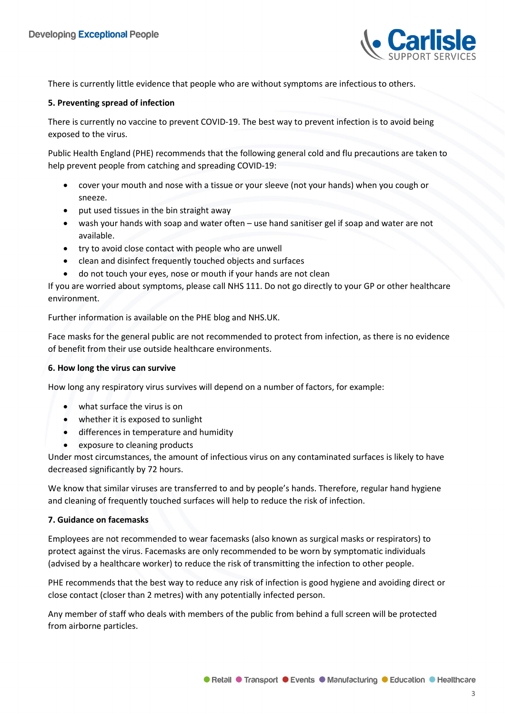

There is currently little evidence that people who are without symptoms are infectious to others.

## **5. Preventing spread of infection**

There is currently no vaccine to prevent COVID-19. The best way to prevent infection is to avoid being exposed to the virus.

Public Health England (PHE) recommends that the following general cold and flu precautions are taken to help prevent people from catching and spreading COVID-19:

- cover your mouth and nose with a tissue or your sleeve (not your hands) when you cough or sneeze.
- put used tissues in the bin straight away
- wash your hands with soap and water often use hand sanitiser gel if soap and water are not available.
- try to avoid close contact with people who are unwell
- clean and disinfect frequently touched objects and surfaces
- do not touch your eyes, nose or mouth if your hands are not clean

If you are worried about symptoms, please call NHS 111. Do not go directly to your GP or other healthcare environment.

Further information is available on the PHE blog and NHS.UK.

Face masks for the general public are not recommended to protect from infection, as there is no evidence of benefit from their use outside healthcare environments.

# **6. How long the virus can survive**

How long any respiratory virus survives will depend on a number of factors, for example:

- what surface the virus is on
- whether it is exposed to sunlight
- differences in temperature and humidity
- exposure to cleaning products

Under most circumstances, the amount of infectious virus on any contaminated surfaces is likely to have decreased significantly by 72 hours.

We know that similar viruses are transferred to and by people's hands. Therefore, regular hand hygiene and cleaning of frequently touched surfaces will help to reduce the risk of infection.

# **7. Guidance on facemasks**

Employees are not recommended to wear facemasks (also known as surgical masks or respirators) to protect against the virus. Facemasks are only recommended to be worn by symptomatic individuals (advised by a healthcare worker) to reduce the risk of transmitting the infection to other people.

PHE recommends that the best way to reduce any risk of infection is good hygiene and avoiding direct or close contact (closer than 2 metres) with any potentially infected person.

Any member of staff who deals with members of the public from behind a full screen will be protected from airborne particles.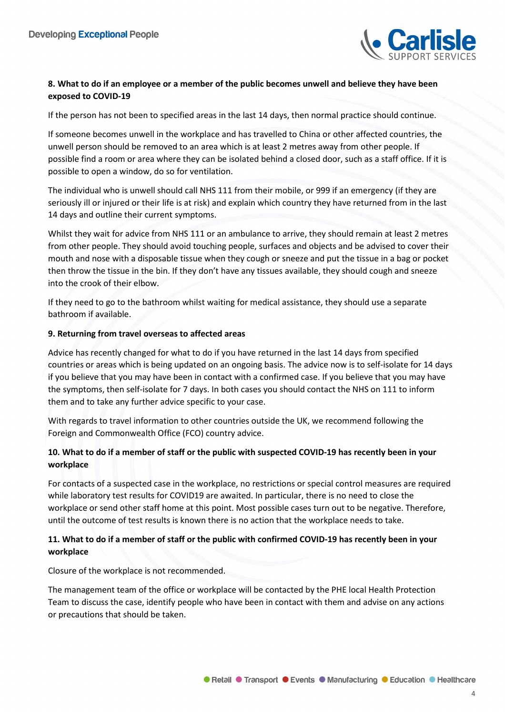

# **8. What to do if an employee or a member of the public becomes unwell and believe they have been exposed to COVID-19**

If the person has not been to specified areas in the last 14 days, then normal practice should continue.

If someone becomes unwell in the workplace and has travelled to China or other affected countries, the unwell person should be removed to an area which is at least 2 metres away from other people. If possible find a room or area where they can be isolated behind a closed door, such as a staff office. If it is possible to open a window, do so for ventilation.

The individual who is unwell should call NHS 111 from their mobile, or 999 if an emergency (if they are seriously ill or injured or their life is at risk) and explain which country they have returned from in the last 14 days and outline their current symptoms.

Whilst they wait for advice from NHS 111 or an ambulance to arrive, they should remain at least 2 metres from other people. They should avoid touching people, surfaces and objects and be advised to cover their mouth and nose with a disposable tissue when they cough or sneeze and put the tissue in a bag or pocket then throw the tissue in the bin. If they don't have any tissues available, they should cough and sneeze into the crook of their elbow.

If they need to go to the bathroom whilst waiting for medical assistance, they should use a separate bathroom if available.

#### **9. Returning from travel overseas to affected areas**

Advice has recently changed for what to do if you have returned in the last 14 days from specified countries or areas which is being updated on an ongoing basis. The advice now is to self-isolate for 14 days if you believe that you may have been in contact with a confirmed case. If you believe that you may have the symptoms, then self-isolate for 7 days. In both cases you should contact the NHS on 111 to inform them and to take any further advice specific to your case.

With regards to travel information to other countries outside the UK, we recommend following the Foreign and Commonwealth Office (FCO) country advice.

# **10. What to do if a member of staff or the public with suspected COVID-19 has recently been in your workplace**

For contacts of a suspected case in the workplace, no restrictions or special control measures are required while laboratory test results for COVID19 are awaited. In particular, there is no need to close the workplace or send other staff home at this point. Most possible cases turn out to be negative. Therefore, until the outcome of test results is known there is no action that the workplace needs to take.

# **11. What to do if a member of staff or the public with confirmed COVID-19 has recently been in your workplace**

Closure of the workplace is not recommended.

The management team of the office or workplace will be contacted by the PHE local Health Protection Team to discuss the case, identify people who have been in contact with them and advise on any actions or precautions that should be taken.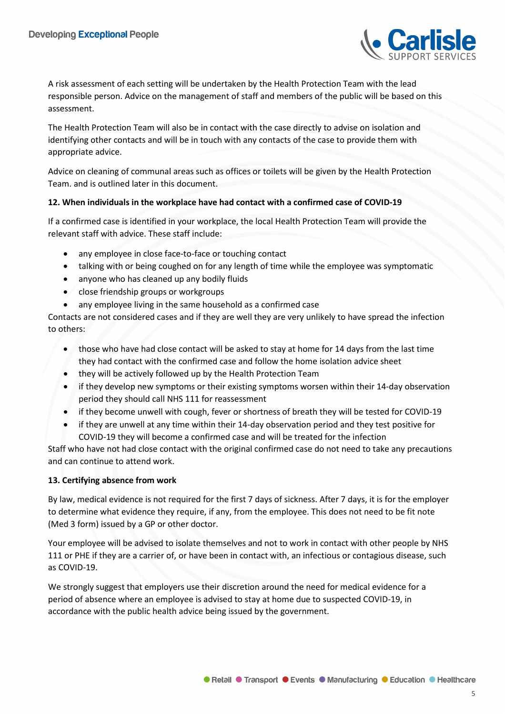

A risk assessment of each setting will be undertaken by the Health Protection Team with the lead responsible person. Advice on the management of staff and members of the public will be based on this assessment.

The Health Protection Team will also be in contact with the case directly to advise on isolation and identifying other contacts and will be in touch with any contacts of the case to provide them with appropriate advice.

Advice on cleaning of communal areas such as offices or toilets will be given by the Health Protection Team. and is outlined later in this document.

# **12. When individuals in the workplace have had contact with a confirmed case of COVID-19**

If a confirmed case is identified in your workplace, the local Health Protection Team will provide the relevant staff with advice. These staff include:

- any employee in close face-to-face or touching contact
- talking with or being coughed on for any length of time while the employee was symptomatic
- anyone who has cleaned up any bodily fluids
- close friendship groups or workgroups
- any employee living in the same household as a confirmed case

Contacts are not considered cases and if they are well they are very unlikely to have spread the infection to others:

- those who have had close contact will be asked to stay at home for 14 days from the last time they had contact with the confirmed case and follow the home isolation advice sheet
- they will be actively followed up by the Health Protection Team
- if they develop new symptoms or their existing symptoms worsen within their 14-day observation period they should call NHS 111 for reassessment
- if they become unwell with cough, fever or shortness of breath they will be tested for COVID-19
- if they are unwell at any time within their 14-day observation period and they test positive for COVID-19 they will become a confirmed case and will be treated for the infection

Staff who have not had close contact with the original confirmed case do not need to take any precautions and can continue to attend work.

# **13. Certifying absence from work**

By law, medical evidence is not required for the first 7 days of sickness. After 7 days, it is for the employer to determine what evidence they require, if any, from the employee. This does not need to be fit note (Med 3 form) issued by a GP or other doctor.

Your employee will be advised to isolate themselves and not to work in contact with other people by NHS 111 or PHE if they are a carrier of, or have been in contact with, an infectious or contagious disease, such as COVID-19.

We strongly suggest that employers use their discretion around the need for medical evidence for a period of absence where an employee is advised to stay at home due to suspected COVID-19, in accordance with the public health advice being issued by the government.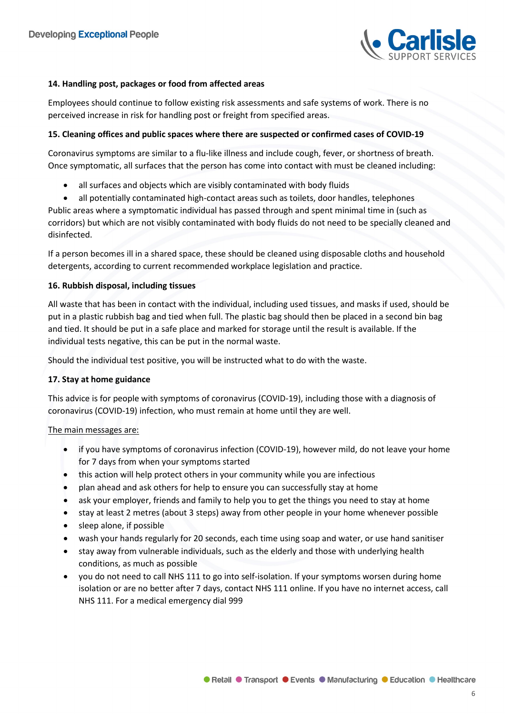

# **14. Handling post, packages or food from affected areas**

Employees should continue to follow existing risk assessments and safe systems of work. There is no perceived increase in risk for handling post or freight from specified areas.

## **15. Cleaning offices and public spaces where there are suspected or confirmed cases of COVID-19**

Coronavirus symptoms are similar to a flu-like illness and include cough, fever, or shortness of breath. Once symptomatic, all surfaces that the person has come into contact with must be cleaned including:

- all surfaces and objects which are visibly contaminated with body fluids
- all potentially contaminated high-contact areas such as toilets, door handles, telephones

Public areas where a symptomatic individual has passed through and spent minimal time in (such as corridors) but which are not visibly contaminated with body fluids do not need to be specially cleaned and disinfected.

If a person becomes ill in a shared space, these should be cleaned using disposable cloths and household detergents, according to current recommended workplace legislation and practice.

#### **16. Rubbish disposal, including tissues**

All waste that has been in contact with the individual, including used tissues, and masks if used, should be put in a plastic rubbish bag and tied when full. The plastic bag should then be placed in a second bin bag and tied. It should be put in a safe place and marked for storage until the result is available. If the individual tests negative, this can be put in the normal waste.

Should the individual test positive, you will be instructed what to do with the waste.

# **17. Stay at home guidance**

This advice is for people with symptoms of coronavirus (COVID-19), including those with a diagnosis of coronavirus (COVID-19) infection, who must remain at home until they are well.

# The main messages are:

- if you have symptoms of coronavirus infection (COVID-19), however mild, do not leave your home for 7 days from when your symptoms started
- this action will help protect others in your community while you are infectious
- plan ahead and ask others for help to ensure you can successfully stay at home
- ask your employer, friends and family to help you to get the things you need to stay at home
- stay at least 2 metres (about 3 steps) away from other people in your home whenever possible
- sleep alone, if possible
- wash your hands regularly for 20 seconds, each time using soap and water, or use hand sanitiser
- stay away from vulnerable individuals, such as the elderly and those with underlying health conditions, as much as possible
- you do not need to call NHS 111 to go into self-isolation. If your symptoms worsen during home isolation or are no better after 7 days, contact NHS 111 online. If you have no internet access, call NHS 111. For a medical emergency dial 999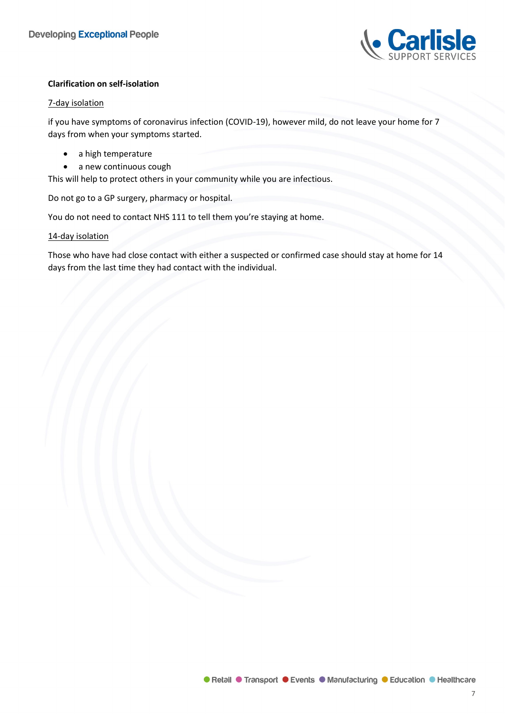

# **Clarification on self-isolation**

#### 7-day isolation

if you have symptoms of coronavirus infection (COVID-19), however mild, do not leave your home for 7 days from when your symptoms started.

- a high temperature
- a new continuous cough

This will help to protect others in your community while you are infectious.

Do not go to a GP surgery, pharmacy or hospital.

You do not need to contact NHS 111 to tell them you're staying at home.

# 14-day isolation

Those who have had close contact with either a suspected or confirmed case should stay at home for 14 days from the last time they had contact with the individual.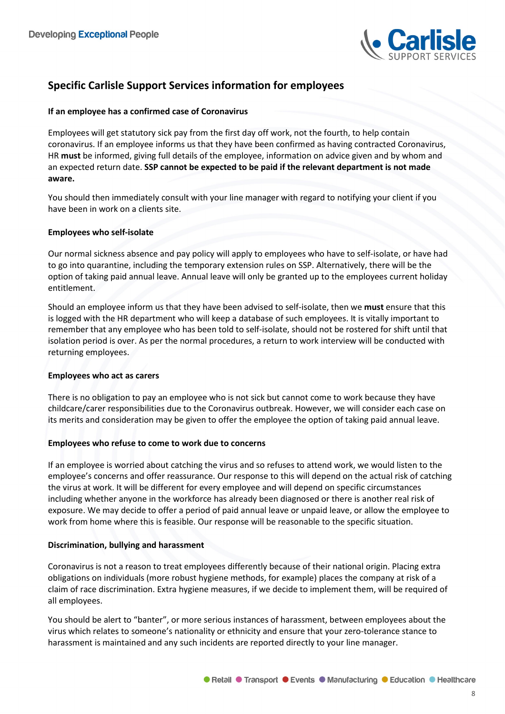

# **Specific Carlisle Support Services information for employees**

# **If an employee has a confirmed case of Coronavirus**

Employees will get statutory sick pay from the first day off work, not the fourth, to help contain coronavirus. If an employee informs us that they have been confirmed as having contracted Coronavirus, HR **must** be informed, giving full details of the employee, information on advice given and by whom and an expected return date. **SSP cannot be expected to be paid if the relevant department is not made aware.**

You should then immediately consult with your line manager with regard to notifying your client if you have been in work on a clients site.

# **Employees who self-isolate**

Our normal sickness absence and pay policy will apply to employees who have to self-isolate, or have had to go into quarantine, including the temporary extension rules on SSP. Alternatively, there will be the option of taking paid annual leave. Annual leave will only be granted up to the employees current holiday entitlement.

Should an employee inform us that they have been advised to self-isolate, then we **must** ensure that this is logged with the HR department who will keep a database of such employees. It is vitally important to remember that any employee who has been told to self-isolate, should not be rostered for shift until that isolation period is over. As per the normal procedures, a return to work interview will be conducted with returning employees.

# **Employees who act as carers**

There is no obligation to pay an employee who is not sick but cannot come to work because they have childcare/carer responsibilities due to the Coronavirus outbreak. However, we will consider each case on its merits and consideration may be given to offer the employee the option of taking paid annual leave.

# **Employees who refuse to come to work due to concerns**

If an employee is worried about catching the virus and so refuses to attend work, we would listen to the employee's concerns and offer reassurance. Our response to this will depend on the actual risk of catching the virus at work. It will be different for every employee and will depend on specific circumstances including whether anyone in the workforce has already been diagnosed or there is another real risk of exposure. We may decide to offer a period of paid annual leave or unpaid leave, or allow the employee to work from home where this is feasible. Our response will be reasonable to the specific situation.

# **Discrimination, bullying and harassment**

Coronavirus is not a reason to treat employees differently because of their national origin. Placing extra obligations on individuals (more robust hygiene methods, for example) places the company at risk of a claim of race discrimination. Extra hygiene measures, if we decide to implement them, will be required of all employees.

You should be alert to "banter", or more serious instances of harassment, between employees about the virus which relates to someone's nationality or ethnicity and ensure that your zero-tolerance stance to harassment is maintained and any such incidents are reported directly to your line manager.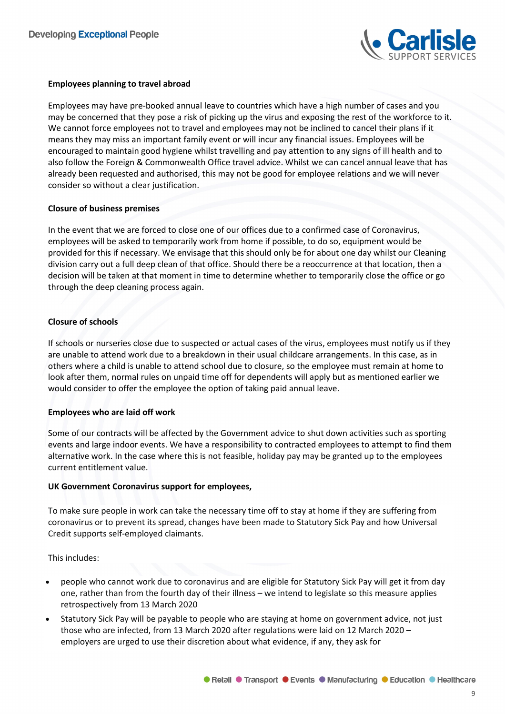

# **Employees planning to travel abroad**

Employees may have pre-booked annual leave to countries which have a high number of cases and you may be concerned that they pose a risk of picking up the virus and exposing the rest of the workforce to it. We cannot force employees not to travel and employees may not be inclined to cancel their plans if it means they may miss an important family event or will incur any financial issues. Employees will be encouraged to maintain good hygiene whilst travelling and pay attention to any signs of ill health and to also follow the Foreign & Commonwealth Office travel advice. Whilst we can cancel annual leave that has already been requested and authorised, this may not be good for employee relations and we will never consider so without a clear justification.

# **Closure of business premises**

In the event that we are forced to close one of our offices due to a confirmed case of Coronavirus, employees will be asked to temporarily work from home if possible, to do so, equipment would be provided for this if necessary. We envisage that this should only be for about one day whilst our Cleaning division carry out a full deep clean of that office. Should there be a reoccurrence at that location, then a decision will be taken at that moment in time to determine whether to temporarily close the office or go through the deep cleaning process again.

#### **Closure of schools**

If schools or nurseries close due to suspected or actual cases of the virus, employees must notify us if they are unable to attend work due to a breakdown in their usual childcare arrangements. In this case, as in others where a child is unable to attend school due to closure, so the employee must remain at home to look after them, normal rules on unpaid time off for dependents will apply but as mentioned earlier we would consider to offer the employee the option of taking paid annual leave.

#### **Employees who are laid off work**

Some of our contracts will be affected by the Government advice to shut down activities such as sporting events and large indoor events. We have a responsibility to contracted employees to attempt to find them alternative work. In the case where this is not feasible, holiday pay may be granted up to the employees current entitlement value.

#### **UK Government Coronavirus support for employees,**

To make sure people in work can take the necessary time off to stay at home if they are suffering from coronavirus or to prevent its spread, changes have been made to Statutory Sick Pay and how Universal Credit supports self-employed claimants.

This includes:

- people who cannot work due to coronavirus and are eligible for Statutory Sick Pay will get it from day one, rather than from the fourth day of their illness – we intend to legislate so this measure applies retrospectively from 13 March 2020
- Statutory Sick Pay will be payable to people who are staying at home on government advice, not just those who are infected, from 13 March 2020 after regulations were laid on 12 March 2020 – employers are urged to use their discretion about what evidence, if any, they ask for